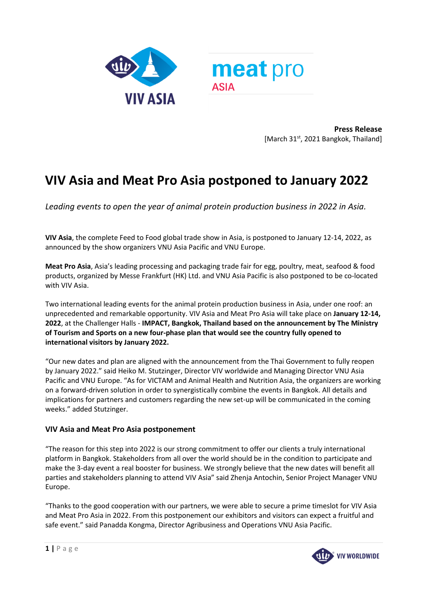

**Press Release**  [March 31<sup>st</sup>, 2021 Bangkok, Thailand]

# **VIV Asia and Meat Pro Asia postponed to January 2022**

*Leading events to open the year of animal protein production business in 2022 in Asia.* 

**VIV Asia**, the complete Feed to Food global trade show in Asia, is postponed to January 12-14, 2022, as announced by the show organizers VNU Asia Pacific and VNU Europe.

**Meat Pro Asia**, Asia's leading processing and packaging trade fair for egg, poultry, meat, seafood & food products, organized by Messe Frankfurt (HK) Ltd. and VNU Asia Pacific is also postponed to be co-located with VIV Asia.

Two international leading events for the animal protein production business in Asia, under one roof: an unprecedented and remarkable opportunity. VIV Asia and Meat Pro Asia will take place on **January 12-14, 2022**, at the Challenger Halls - **IMPACT, Bangkok, Thailand based on the announcement by The Ministry of Tourism and Sports on a new four-phase plan that would see the country fully opened to international visitors by January 2022.**

"Our new dates and plan are aligned with the announcement from the Thai Government to fully reopen by January 2022." said Heiko M. Stutzinger, Director VIV worldwide and Managing Director VNU Asia Pacific and VNU Europe. "As for VICTAM and Animal Health and Nutrition Asia, the organizers are working on a forward-driven solution in order to synergistically combine the events in Bangkok. All details and implications for partners and customers regarding the new set-up will be communicated in the coming weeks." added Stutzinger.

## **VIV Asia and Meat Pro Asia postponement**

"The reason for this step into 2022 is our strong commitment to offer our clients a truly international platform in Bangkok. Stakeholders from all over the world should be in the condition to participate and make the 3-day event a real booster for business. We strongly believe that the new dates will benefit all parties and stakeholders planning to attend VIV Asia" said Zhenja Antochin, Senior Project Manager VNU Europe.

"Thanks to the good cooperation with our partners, we were able to secure a prime timeslot for VIV Asia and Meat Pro Asia in 2022. From this postponement our exhibitors and visitors can expect a fruitful and safe event." said Panadda Kongma, Director Agribusiness and Operations VNU Asia Pacific.